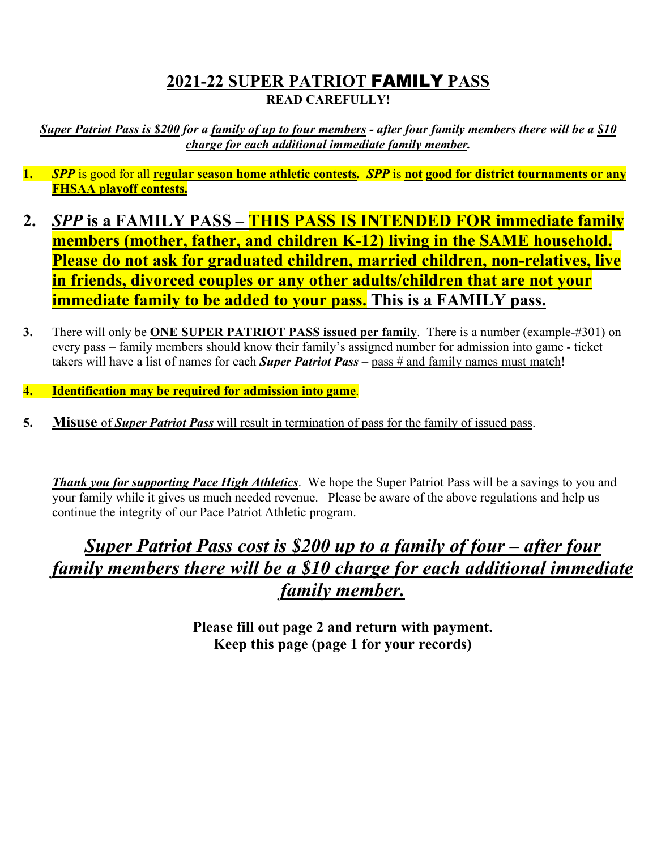## **2021-22 SUPER PATRIOT** FAMILY **PASS READ CAREFULLY!**

*Super Patriot Pass is \$200 for a family of up to four members - after four family members there will be a \$10 charge for each additional immediate family member.* 

- **1.** *SPP* is good for all **regular season home athletic contests***. SPP* is **not good for district tournaments or any FHSAA playoff contests.**
- **2.** *SPP* **is a FAMILY PASS – THIS PASS IS INTENDED FOR immediate family members (mother, father, and children K-12) living in the SAME household. Please do not ask for graduated children, married children, non-relatives, live in friends, divorced couples or any other adults/children that are not your immediate family to be added to your pass. This is a FAMILY pass.**
- **3.** There will only be **ONE SUPER PATRIOT PASS issued per family**. There is a number (example-#301) on every pass – family members should know their family's assigned number for admission into game - ticket takers will have a list of names for each *Super Patriot Pass* – pass # and family names must match!
- **4. Identification may be required for admission into game**.
- **5. Misuse** of *Super Patriot Pass* will result in termination of pass for the family of issued pass.

*Thank you for supporting Pace High Athletics*. We hope the Super Patriot Pass will be a savings to you and your family while it gives us much needed revenue. Please be aware of the above regulations and help us continue the integrity of our Pace Patriot Athletic program.

## *Super Patriot Pass cost is \$200 up to a family of four – after four family members there will be a \$10 charge for each additional immediate family member.*

**Please fill out page 2 and return with payment. Keep this page (page 1 for your records)**